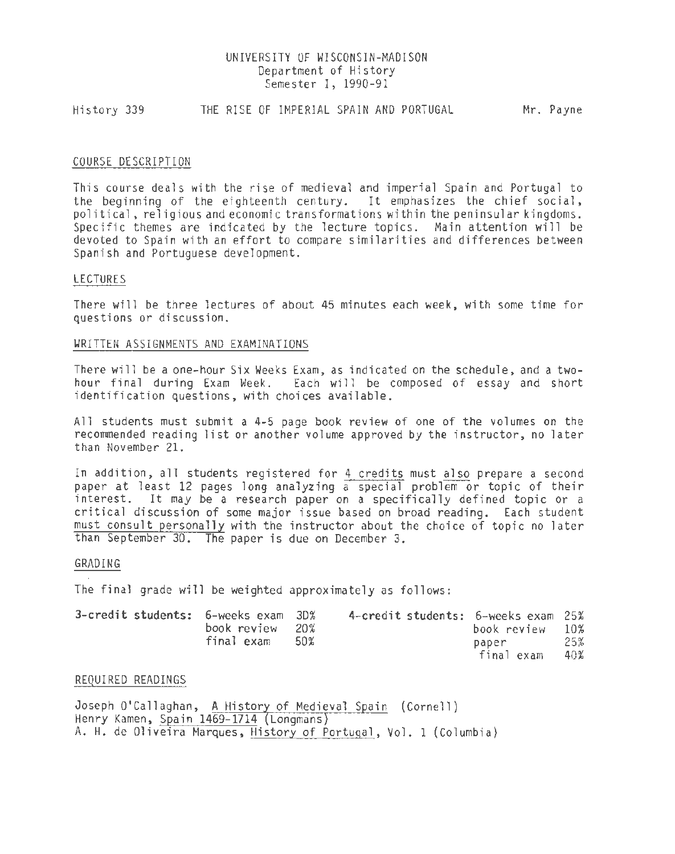## UNIVERSITY OF WISCONSIN-MADISON Department of History Semester I, 1990-91

Hi story 339 THE RISE OF IMPERIAL SPAIN AND PORTUGAL Mr. Payne

### COURSE DESCRIPTION

This course deals with the rise of medieval and imperial Spain and Portugal to the beginning of the eighteenth century. It emphasizes the chief social, political, religious and economic transformations within the peninsular kingdoms. Specific themes are indicated by the lecture topics. Main attention will be devoted to Spain with an effort to compare similarities and differences between Spanish and Portuguese development.

#### LECTURES

There will be three lectures of about 45 minutes each week, with some time for questions or discussion.

#### WRITTEN ASSIGNMENTS AND EXAMINATIONS

There will be a one-hour Six Weeks Exam, as indicated on the schedule, and a twohour final during Exam Week. Each will be composed of essay and short identification questions, with choices available.

All students must submit a 4-5 page book review of one of the volumes on the recommended reading list or another volume approved by the instructor, no later than November 21.

In addition, all students registered for 4 credits must also prepare a second paper at least 12 pages long analyzing a special problem or topic of their interest. It may be a research paper on a specifically defined topic or a critical discussion of some major issue based on broad reading. Each student must consult personally with the instructor about the choice of topic no later than September 30. The paper is due on December 3.

#### GRADING

The final grade will be weighted approximately as follows:

| 3-credit students: 6-weeks exam 3D% | book review 20% |      | 4-credit students: 6-weeks exam 25% | book review         | 10%        |
|-------------------------------------|-----------------|------|-------------------------------------|---------------------|------------|
|                                     | final exam      | .50% |                                     | paper<br>final exam | 25%<br>40% |

# REQUIRED READINGS

Joseph O'Callaghan, A History of Medieval Spain (Cornell) Henry Kamen, Spain 1469-1714 Longmans) A. H. de Oliveira Marques, History of Portugal, Vol. 1 (Columbia)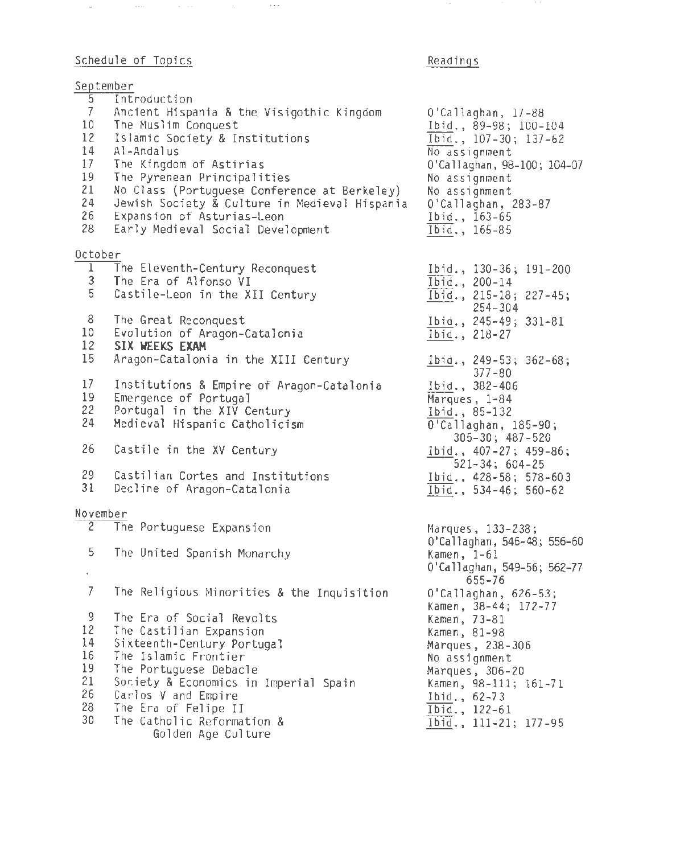# Schedule of Topics

 $\Delta\omega_{\rm{eff}}$  and  $\omega_{\rm{eff}}$  are the spectral of the spectral spectrum of  $\Delta\omega_{\rm{eff}}$ 

# Readings

 $\sim$ 

 $\sim 10^{-1}$ 

|                 | September                                     |                                                              |
|-----------------|-----------------------------------------------|--------------------------------------------------------------|
| $\overline{5}$  | Introduction                                  |                                                              |
| $\overline{7}$  | Ancient Hispania & the Visigothic Kingdom     | O'Callaghan, 17-88                                           |
| 10 <sub>1</sub> | The Muslim Conquest                           | Ibid., 89-98; 100-104                                        |
| 12              | Islamic Society & Institutions                | Ibid., 107-30; 137-62                                        |
| 14              | Al-Andalus                                    | No assignment                                                |
| 17              | The Kingdom of Astirias                       | 0'Callaghan, 98-100; 104-07                                  |
| 19              | The Pyrenean Principalities                   | No assignment                                                |
| 21              | No Class (Portuguese Conference at Berkeley)  | No assignment                                                |
| 24              | Jewish Society & Culture in Medieval Hispania | O'Callaghan, 283-87                                          |
| 26              | Expansion of Asturias-Leon                    | Ibid., 163-65                                                |
| 28              | Early Medieval Social Development             | Ibid., 165-85                                                |
| October         |                                               |                                                              |
| $\mathbf{1}$    | The Eleventh-Century Reconquest               | Ibid., 130-36; 191-200                                       |
| 3               | The Era of Alfonso VI                         | Ibid., 200-14                                                |
| 5               | Castile-Leon in the XII Century               | Ibid., 215-18; 227-45;                                       |
|                 |                                               | $254 - 304$                                                  |
| 8               | The Great Reconquest                          | Ibid., 245-49; 331-81                                        |
| 10              | Evolution of Aragon-Catalonia                 | Ibid., 218-27                                                |
| 12              | SIX WEEKS EXAM                                |                                                              |
| 15              | Aragon-Catalonia in the XIII Century          | Ibid., 249-53; 362-68;                                       |
|                 |                                               | $377 - 80$                                                   |
| 17              | Institutions & Empire of Aragon-Catalonia     | Ibid., 382-406                                               |
| 19              | Emergence of Portugal                         | Marques, 1-84                                                |
| 22<br>24        | Portugal in the XIV Century                   | Ibid., 85-132                                                |
|                 | Medieval Hispanic Catholicism                 | 0'Callaghan, 185-90;                                         |
| 26              | Castile in the XV Century                     | $305 - 30$ ; $487 - 520$                                     |
|                 |                                               | $1 \text{bid.}$ , 407-27; 459-86;<br>$521 - 34$ ; $604 - 25$ |
| 29              | Castilian Cortes and Institutions             | Ibid., 428-58; 578-603                                       |
| 31              | Decline of Aragon-Catalonia                   | Ibid., 534-46; 560-62                                        |
|                 |                                               |                                                              |
| November        |                                               |                                                              |
|                 | 2 The Portuguese Expansion                    | Marques, 133-238;                                            |
| 5               |                                               | O'Callaghan, 546-48; 556-60                                  |
|                 | The United Spanish Monarchy                   | Kamen, 1-61                                                  |
| $\epsilon$      |                                               | O'Callaghan, 549-56; 562-77<br>655-76                        |
| 7               | The Religious Minorities & the Inquisition    | 0'Callaghan, 626-53;                                         |
|                 |                                               | Kamen, 38-44; 172-77                                         |
| 9               | The Era of Social Revolts                     | Kamen, 73-81                                                 |
| 12              | The Castilian Expansion                       | Kamen, 81-98                                                 |
| 14              | Sixteenth-Century Portugal                    | Marques, 238-306                                             |
| 16              | The Islamic Frontier                          | No assignment                                                |
| 19              | The Portuguese Debacle                        | Marques, 306-20                                              |
| 21              | Society & Economics in Imperial Spain         | Kamen, 98-111; 161-71                                        |
| 26              | Carlos V and Empire                           | Ibid., 62-73                                                 |
| 28              | The Era of Felipe II                          | Ibid., 122-61                                                |
| 30              | The Catholic Reformation &                    | Ibid., 111-21; 177-95                                        |
|                 | Golden Age Culture                            |                                                              |